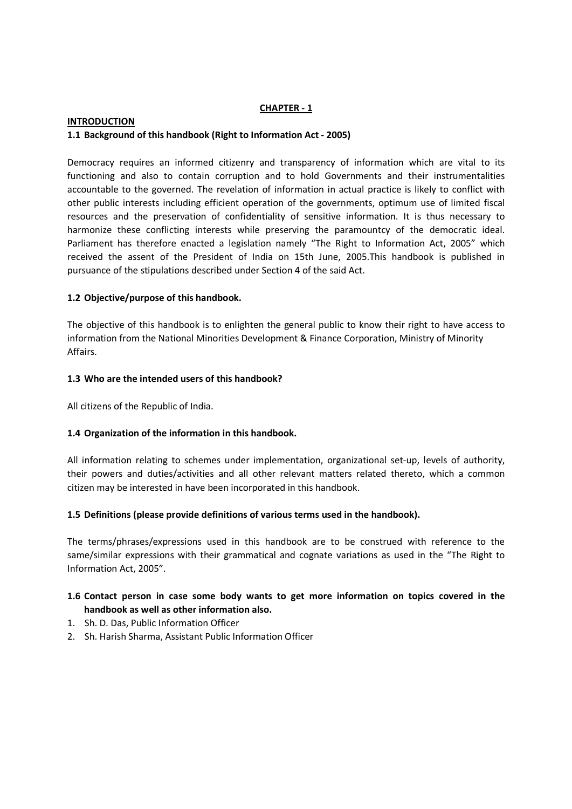#### CHAPTER - 1

## INTRODUCTION 1.1 Background of this handbook (Right to Information Act - 2005)

Democracy requires an informed citizenry and transparency of information which are vital to its functioning and also to contain corruption and to hold Governments and their instrumentalities accountable to the governed. The revelation of information in actual practice is likely to conflict with other public interests including efficient operation of the governments, optimum use of limited fiscal resources and the preservation of confidentiality of sensitive information. It is thus necessary to harmonize these conflicting interests while preserving the paramountcy of the democratic ideal. Parliament has therefore enacted a legislation namely "The Right to Information Act, 2005" which received the assent of the President of India on 15th June, 2005.This handbook is published in pursuance of the stipulations described under Section 4 of the said Act.

## 1.2 Objective/purpose of this handbook.

The objective of this handbook is to enlighten the general public to know their right to have access to information from the National Minorities Development & Finance Corporation, Ministry of Minority Affairs.

#### 1.3 Who are the intended users of this handbook?

All citizens of the Republic of India.

## 1.4 Organization of the information in this handbook.

All information relating to schemes under implementation, organizational set-up, levels of authority, their powers and duties/activities and all other relevant matters related thereto, which a common citizen may be interested in have been incorporated in this handbook.

## 1.5 Definitions (please provide definitions of various terms used in the handbook).

The terms/phrases/expressions used in this handbook are to be construed with reference to the same/similar expressions with their grammatical and cognate variations as used in the "The Right to Information Act, 2005".

## 1.6 Contact person in case some body wants to get more information on topics covered in the handbook as well as other information also.

- 1. Sh. D. Das, Public Information Officer
- 2. Sh. Harish Sharma, Assistant Public Information Officer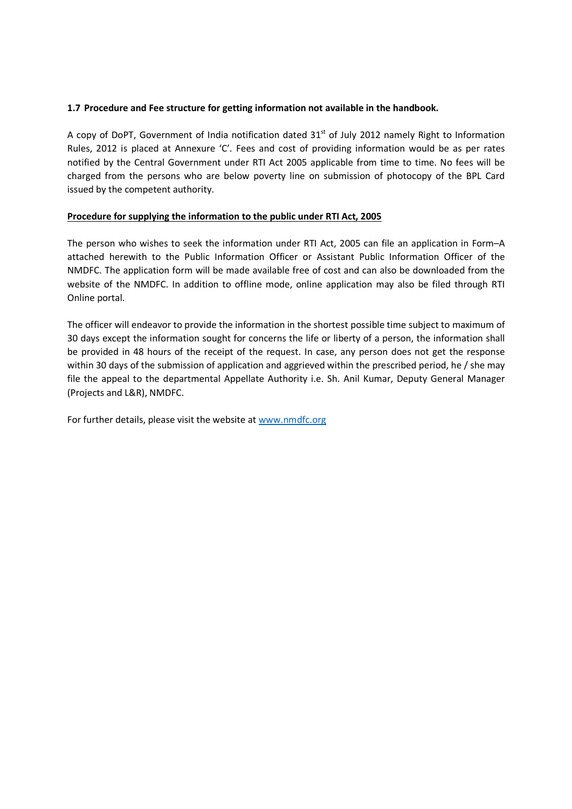## 1.7 Procedure and Fee structure for getting information not available in the handbook.

A copy of DoPT, Government of India notification dated  $31<sup>st</sup>$  of July 2012 namely Right to Information Rules, 2012 is placed at Annexure 'C'. Fees and cost of providing information would be as per rates notified by the Central Government under RTI Act 2005 applicable from time to time. No fees will be charged from the persons who are below poverty line on submission of photocopy of the BPL Card issued by the competent authority.

## Procedure for supplying the information to the public under RTI Act, 2005

The person who wishes to seek the information under RTI Act, 2005 can file an application in Form–A attached herewith to the Public Information Officer or Assistant Public Information Officer of the NMDFC. The application form will be made available free of cost and can also be downloaded from the website of the NMDFC. In addition to offline mode, online application may also be filed through RTI Online portal.

The officer will endeavor to provide the information in the shortest possible time subject to maximum of 30 days except the information sought for concerns the life or liberty of a person, the information shall be provided in 48 hours of the receipt of the request. In case, any person does not get the response within 30 days of the submission of application and aggrieved within the prescribed period, he / she may file the appeal to the departmental Appellate Authority i.e. Sh. Anil Kumar, Deputy General Manager (Projects and L&R), NMDFC.

For further details, please visit the website at www.nmdfc.org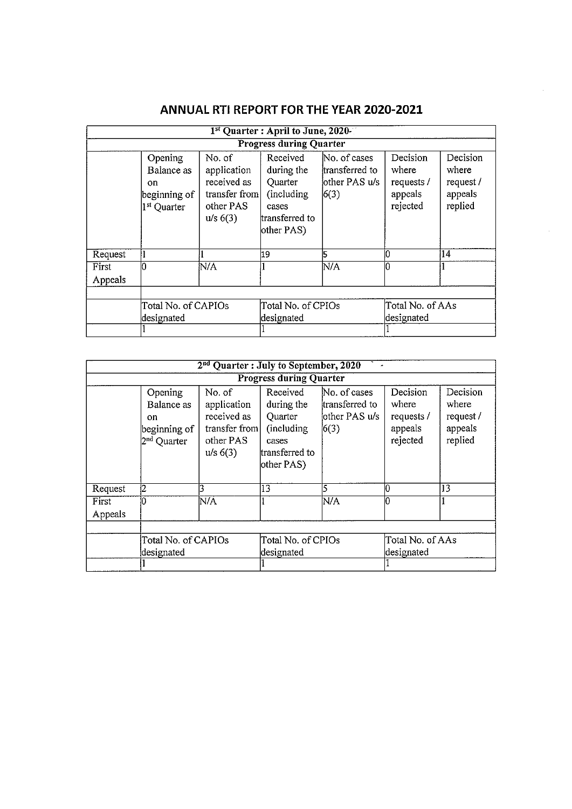| 1 <sup>st</sup> Quarter : April to June, 2020- |                                                                         |                                                                                |                                                                                           |                                                          |                                                        |                                                     |  |
|------------------------------------------------|-------------------------------------------------------------------------|--------------------------------------------------------------------------------|-------------------------------------------------------------------------------------------|----------------------------------------------------------|--------------------------------------------------------|-----------------------------------------------------|--|
| <b>Progress during Quarter</b>                 |                                                                         |                                                                                |                                                                                           |                                                          |                                                        |                                                     |  |
|                                                | Opening<br>Balance as<br>on.<br>beginning of<br>1 <sup>st</sup> Quarter | No. of<br>application<br>received as<br>transfer from<br>other PAS<br>u/s 6(3) | Received<br>during the<br>Quarter<br>(including)<br>cases<br>transferred to<br>other PAS) | No. of cases<br>transferred to<br>other PAS u/s<br> 6(3) | Decision<br>where<br>requests /<br>appeals<br>rejected | Decision<br>where<br>request/<br>appeals<br>replied |  |
| Request                                        |                                                                         |                                                                                | 19                                                                                        | 15                                                       | Ю                                                      | 14                                                  |  |
| First<br>Appeals                               | Ю                                                                       | $\overline{\text{N/A}}$                                                        |                                                                                           | N/A                                                      | II)                                                    |                                                     |  |
|                                                | Total No. of CAPIOs<br>designated                                       |                                                                                | Total No. of CPIOs<br>designated                                                          |                                                          | Total No. of AAs<br>designated                         |                                                     |  |

# ANNUAL RTI REPORT FOR THE YEAR 2020-2021

| 2 <sup>nd</sup> Quarter : July to September, 2020 |                                                                        |                                                                                |                                                                                            |                                                          |                                                        |                                                      |  |
|---------------------------------------------------|------------------------------------------------------------------------|--------------------------------------------------------------------------------|--------------------------------------------------------------------------------------------|----------------------------------------------------------|--------------------------------------------------------|------------------------------------------------------|--|
| <b>Progress during Quarter</b>                    |                                                                        |                                                                                |                                                                                            |                                                          |                                                        |                                                      |  |
|                                                   | Opening<br>Balance as<br>on<br>beginning of<br>2 <sup>nd</sup> Quarter | No. of<br>application<br>received as<br>transfer from<br>other PAS<br>u/s 6(3) | Received<br>during the<br>Quarter<br>(including)<br>cases<br>ltransferred to<br>other PAS) | No. of cases<br>transferred to<br>other PAS u/s<br> 6(3) | Decision<br>where<br>requests /<br>appeals<br>rejected | Decision<br>where<br>request /<br>appeals<br>replied |  |
| Request                                           | 12                                                                     |                                                                                | $\overline{13}$                                                                            |                                                          |                                                        | $\overline{13}$                                      |  |
| First<br>Appeals                                  | Ю                                                                      | N/A                                                                            |                                                                                            | N/A                                                      |                                                        |                                                      |  |
|                                                   | Total No. of CAPIOs<br>designated                                      |                                                                                | Total No. of CPIOs<br>designated                                                           |                                                          | Total No. of AAs<br>designated                         |                                                      |  |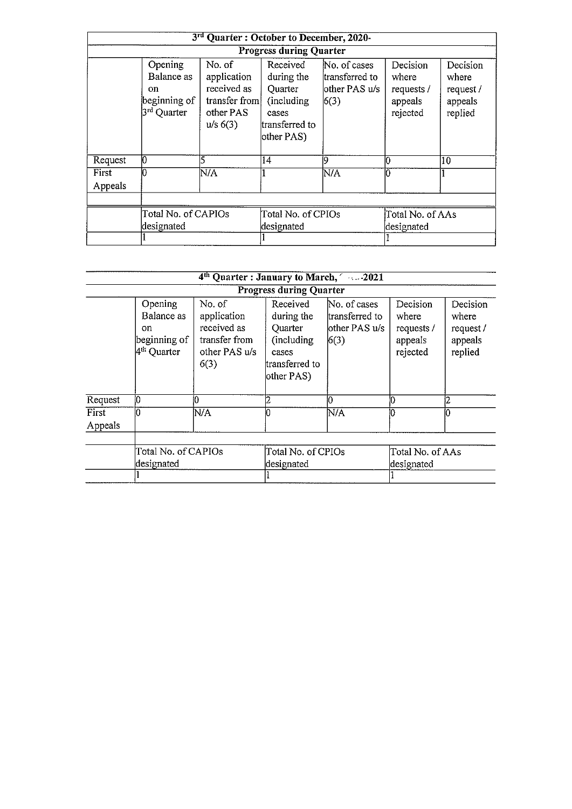| 3rd Quarter : October to December, 2020- |                                                                                   |                                                                                |                                                                                            |                                                           |                                                        |                                                      |  |  |
|------------------------------------------|-----------------------------------------------------------------------------------|--------------------------------------------------------------------------------|--------------------------------------------------------------------------------------------|-----------------------------------------------------------|--------------------------------------------------------|------------------------------------------------------|--|--|
|                                          | <b>Progress during Quarter</b>                                                    |                                                                                |                                                                                            |                                                           |                                                        |                                                      |  |  |
|                                          | Opening<br>Balance as<br><sub>on</sub><br>beginning of<br>3 <sup>rd</sup> Quarter | No. of<br>application<br>received as<br>transfer from<br>other PAS<br>u/s 6(3) | Received<br>during the<br>Quarter<br>(including)<br>cases<br>ltransferred to<br>other PAS) | No. of cases<br>ltransferred to<br>other PAS u/s<br> 6(3) | Decision<br>where<br>requests /<br>appeals<br>rejected | Decision<br>where<br>request /<br>appeals<br>replied |  |  |
| Request                                  | 10                                                                                |                                                                                | 14                                                                                         | ļ9                                                        |                                                        | 10                                                   |  |  |
| First<br>Appeals                         |                                                                                   | N/A                                                                            |                                                                                            | N/A                                                       |                                                        |                                                      |  |  |
|                                          |                                                                                   |                                                                                |                                                                                            |                                                           |                                                        |                                                      |  |  |
|                                          | Total No. of CAPIOs<br>designated                                                 |                                                                                | Total No. of CPIOs<br>designated                                                           |                                                           | Total No. of AAs<br>designated                         |                                                      |  |  |
|                                          |                                                                                   |                                                                                |                                                                                            |                                                           |                                                        |                                                      |  |  |

| 4th Quarter : January to March, 2021<br><b>Progress during Quarter</b> |                                   |     |                                  |     |                                |  |  |
|------------------------------------------------------------------------|-----------------------------------|-----|----------------------------------|-----|--------------------------------|--|--|
|                                                                        |                                   |     |                                  |     |                                |  |  |
| Request                                                                | 10                                | Ю   |                                  | 10  |                                |  |  |
| First<br>Appeals                                                       | Ю                                 | N/A |                                  | N/A | 0                              |  |  |
|                                                                        | Total No. of CAPIOs<br>designated |     | Total No. of CPIOs<br>designated |     | Total No. of AAs<br>designated |  |  |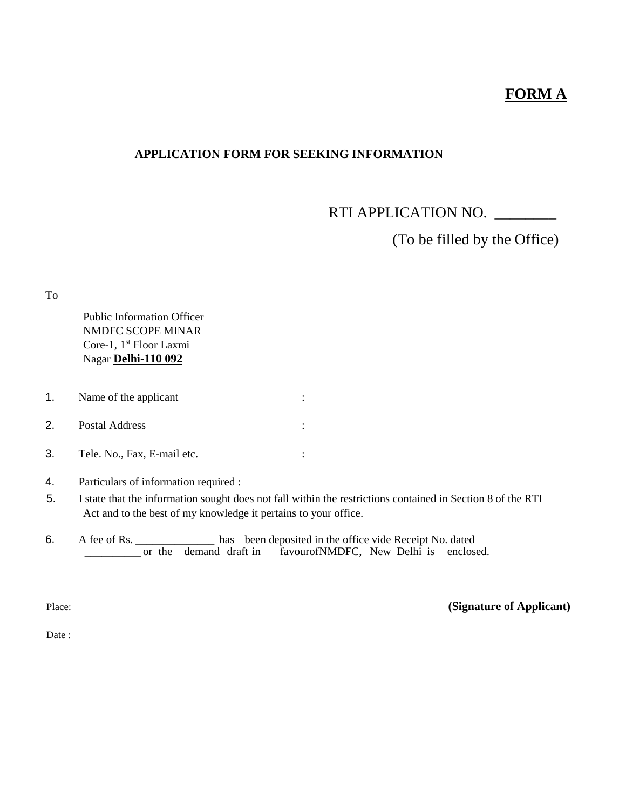# **FORM A**

## **APPLICATION FORM FOR SEEKING INFORMATION**

RTI APPLICATION NO. \_\_\_\_\_\_\_\_

(To be filled by the Office)

To

Public Information Officer NMDFC SCOPE MINAR Core-1, 1<sup>st</sup> Floor Laxmi Nagar **Delhi-110 092**

- 1. Name of the applicant :
- 2. Postal Address :
- 3. Tele. No., Fax, E-mail etc. :
- 4. Particulars of information required :
- 5. I state that the information sought does not fall within the restrictions contained in Section 8 of the RTI Act and to the best of my knowledge it pertains to your office.
- 6. A fee of Rs. \_\_\_\_\_\_\_\_\_\_\_\_\_\_ has been deposited in the office vide Receipt No. dated or the demand draft in favourofNMDFC, New Delhi is enclosed.

Place: **(Signature of Applicant)** 

Date: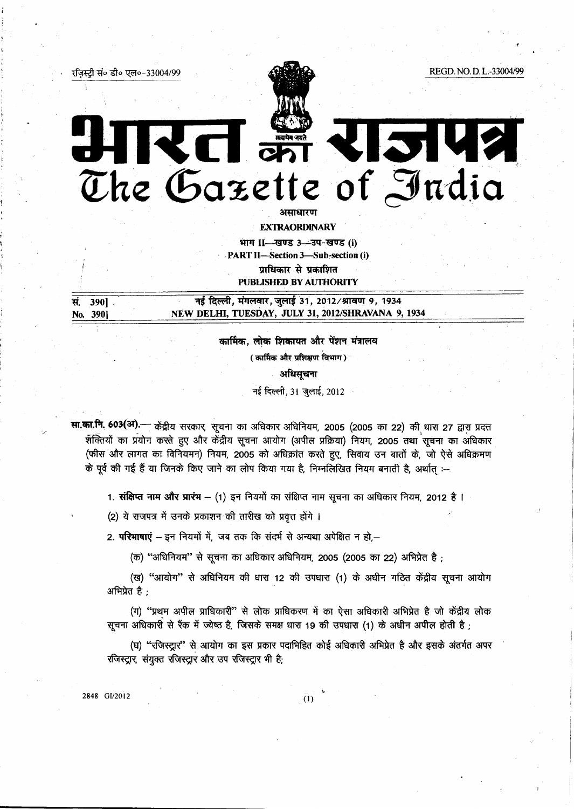REGD. NO. D. L.-33004/99



# 2142 The Gazette of India असाधारण

**EXTRAORDINARY** 

भाग II- खण्ड 3-उप-खण्ड (i) **PART II-Section 3-Sub-section (i)** प्राधिकार से प्रकाशित **PUBLISHED BY AUTHORITY** 

नई दिल्ली, मंगलवार, जुलाई 31, 2012/श्रावण 9, 1934 सं. 390] NEW DELHI, TUESDAY, JULY 31, 2012/SHRAVANA 9, 1934 No. 390]

कार्मिक, लोक शिकायत और पेंशन मंत्रालय

(कार्मिक और प्रशिक्षण विभाग)

अधिसूचना

नई दिल्ली, 31 जुलाई, 2012

**सा.का.नि. 603(अ).—** केंद्रीय सरकार, सूचना का अधिकार अधिनियम, 2005 (2005 का 22) की धारा 27 द्वारा प्रदत्त शक्तियों का प्रयोग करते हुए और केंद्रीय सूचना आयोग (अपील प्रक्रिया) नियम, 2005 तथा सूचना का अधिकार (फीस और लागत का विनियमन) नियम, 2005 को अधिक्रांत करते हुए, सिवाय उन बातों के, जो ऐसे अधिक्रमण के पूर्व की गई हैं या जिनके किए जाने का लोप किया गया है, निम्नलिखित नियम बनाती है, अर्थात :--

1. संक्षिप्त नाम और प्रारंभ -- (1) इन नियमों का संक्षिप्त नाम सूचना का अधिकार नियम, 2012 है।

(2) ये राजपत्र में उनके प्रकाशन की तारीख को प्रवृत्त होंगे ।

2. परिभाषाएं - इन नियमों में, जब तक कि संदर्भ से अन्यथा अपेक्षित न हो,-

(क) "अधिनियम" से सूचना का अधिकार अधिनियम, 2005 (2005 का 22) अभिप्रेत है;

(ख) "आयोग" से अधिनियम की धारा 12 की उपधारा (1) के अधीन गठित केंद्रीय सूचना आयोग अभिप्रेत है:

(ग) "प्रथम अपील प्राधिकारी" से लोक प्राधिकरण में का ऐसा अधिकारी अभिप्रेत है जो केंद्रीय लोक सूचना अधिकारी से रैंक में ज्येष्ठ है, जिसके समक्ष धारा 19 की उपधारा (1) के अधीन अपील होती है;

(घ) "रजिस्ट्रार" से आयोग का इस प्रकार पदाभिहित कोई अधिकारी अभिप्रेत है और इसके अंतर्गत अपर रजिस्ट्रार, संयुक्त रजिस्ट्रार और उप रजिस्ट्रार भी है;

2848 GI/2012

रज़िस्ट्री सं॰ डी॰ एल॰-33004/99

 $(1)$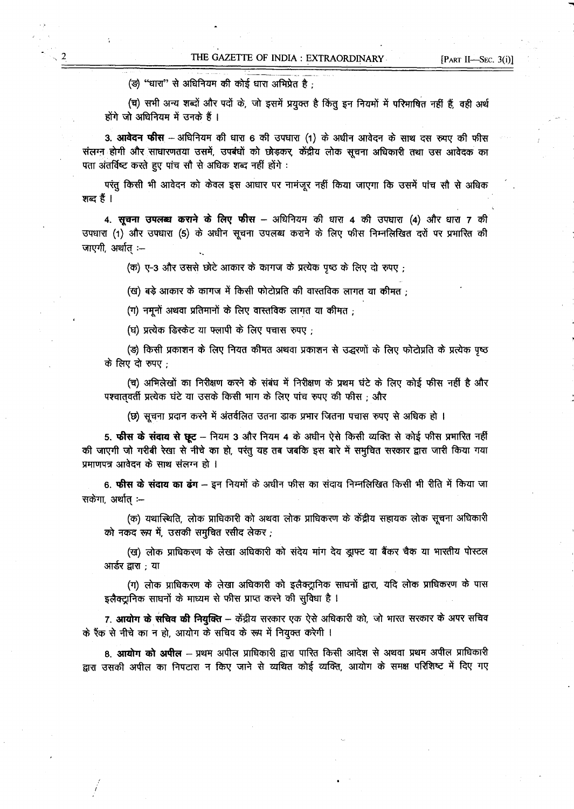(ङ) "धारा" से अधिनियम की कोई धारा अभिप्रेत है;

(च) सभी अन्य शब्दों और पदों के, जो इसमें प्रयुक्त है किंतू इन नियमों में परिभाषित नहीं हैं, वही अर्थ होंगे जो अधिनियम में उनके हैं ।

3. **आवेदन फीस** – अधिनियम की धारा 6 की उपधारा (1) के अधीन आवेदन के साथ दस रूपए की फीस संलग्न होगी और साधारणतया उसमें, उपबंधों को छोड़कर, केंद्रीय लोक सूचना अधिकारी तथा उस आवेदक का पता अंतर्विष्ट करते हुए पांच सौ से अधिक शब्द नहीं होंगे :

परंतु किसी भी आवेदन को केवल इस आधार पर नामंजूर नहीं किया जाएगा कि उसमें पांच सौ से अधिक शब्द हैं ।

4. सूचना उपलब्ध कराने के लिए फीस – अधिनियम की धारा 4 की उपधारा (4) और धारा 7 की उपधारा (1) और उपधारा (5) के अधीन सूचना उपलब्ध कराने के लिए फीस निम्नलिखित दरों पर प्रभारित की जाएगी, अर्थात् :--

(क) ए-3 और उससे छोटे आकार के कागज के प्रत्येक पृष्ठ के लिए दो रुपए :

(ख) बड़े आकार के कागज में किसी फोटोप्रति की वास्तविक लागत या कीमत ;

(ग) नमूनों अथवा प्रतिमानों के लिए वास्तविक लागत या कीमत ;

(घ) प्रत्येक डिस्केट या फ्लापी के लिए पचास रुपए;

(ङ) किसी प्रकाशन के लिए नियत कीमत अथवा प्रकाशन से उद्धरणों के लिए फोटोप्रति के प्रत्येक पृष्ठ के लिए दो रुपए ;

(च) अभिलेखों का निरीक्षण करने के संबंध में निरीक्षण के प्रथम घंटे के लिए कोई फीस नहीं है और पश्चातवर्ती प्रत्येक घंटे या उसके किसी भाग के लिए पांच रुपए की फीस; और

(छ) सूचना प्रदान करने में अंतर्वलित उतना डाक प्रभार जितना पचास रुपए से अधिक हो ।

5. फीस के संदाय से छूट - नियम 3 और नियम 4 के अधीन ऐसे किसी व्यक्ति से कोई फीस प्रभारित नहीं की जाएगी जो गरीबी रेखा से नीचे का हो, परंतु यह तब जबकि इस बारे में समुचित सरकार द्वारा जारी किया गया प्रमाणपत्र आवेदन के साथ संलग्न हो ।

6. फीस के संदाय का ढंग – इन नियमों के अधीन फीस का संदाय निम्नलिखित किसी भी रीति में किया जा सकेंगा, अर्थात :--

(क) यथास्थिति, लोक प्राधिकारी को अथवा लोक प्राधिकरण के केंद्रीय सहायक लोक सूचना अधिकारी को नकद रूप में, उसकी समुचित रसीद लेकर;

(ख) लोक प्राधिकरण के लेखा अधिकारी को संदेय मांग देय ड्राफ्ट या बैंकर चैक या भारतीय पोस्टल आर्डर द्वारा : या

(ग) लोक प्राधिकरण के लेखा अधिकारी को इलैक्ट्रानिक साधनों द्वारा, यदि लोक प्राधिकरण के पास इलैक्ट्रानिक साधनों के माध्यम से फीस प्राप्त करने की सुविधा है ।

7. आयोग के सचिव की नियुक्ति – केंद्रीय सरकार एक ऐसे अधिकारी को, जो भारत सरकार के अपर सचिव के रैंक से नीचे का न हो, आयोग के सचिव के रूप में नियुक्त करेगी ।

8. **आयोग को अपील** – प्रथम अपील प्राधिकारी द्वारा पारित किसी आदेश से अथवा प्रथम अपील प्राधिकारी द्वारा उसकी अपील का निपटारा न किए जाने से व्यथित कोई व्यक्ति, आयोग के समक्ष परिशिष्ट में दिए गए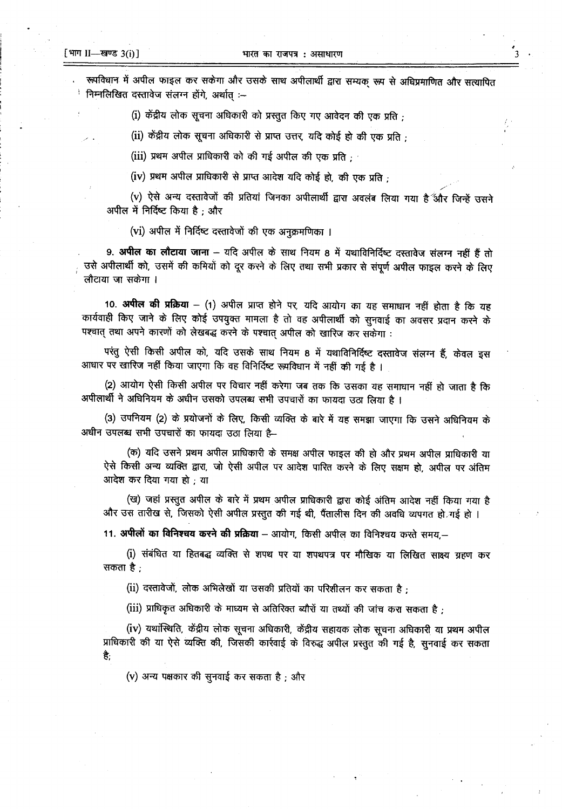रूपविधान में अपील फाइल कर सकेगा और उसके साथ अपीलार्थी द्वारा सम्यक् रूप से अधिप्रमाणित और सत्यापित निम्नलिखित दस्तावेज संलग्न होंगे, अर्थात :--

(i) केंद्रीय लोक सूचना अधिकारी को प्रस्तुत किए गए आवेदन की एक प्रति ;

(ii) केंद्रीय लोक सूचना अधिकारी से प्राप्त उत्तर, यदि कोई हो की एक प्रति :

(iii) प्रथम अपील प्राधिकारी को की गई अपील की एक प्रति : '

(iv) प्रथम अपील प्राधिकारी से प्राप्त आदेश यदि कोई हो, की एक प्रति ;

(v) ऐसे अन्य दस्तावेजों की प्रतियां जिनका अपीलार्थी द्वारा अवलंब लिया गया है और जिन्हें उसने अपील में निर्दिष्ट किया है ; और

(vi) अपील में निर्दिष्ट दस्तावेजों की एक अनुक्रमणिका ।

9. अपील का लौटाया जाना - यदि अपील के साथ नियम 8 में यथाविनिर्दिष्ट दस्तावेज संलग्न नहीं हैं तो उसे अपीलार्थी को, उसमें की कमियों को दूर करने के लिए तथा सभी प्रकार से संपूर्ण अपील फाइल करने के लिए लौटाया जा सकेगा ।

10. अपील की प्रक्रिया – (1) अपील प्राप्त होने पर, यदि आयोग का यह समाधान नहीं होता है कि यह कार्यवाही किए जाने के लिए कोई उपयुक्त मामला है तो वह अपीलार्थी को सुनवाई का अवसर प्रदान करने के पश्चात् तथा अपने कारणों को लेखबद्ध करने के पश्चात् अपील को खारिज कर सकेगा :

परंतु ऐसी किसी अपील को, यदि उसके साथ नियम 8 में यथाविनिर्दिष्ट दस्तावेज संलग्न हैं, केवल इस आधार पर खारिज नहीं किया जाएगा कि वह विनिर्दिष्ट रूपविधान में नहीं की गई है ।

(2) आयोग ऐसी किसी अपील पर विचार नहीं करेगा जब तक कि उसका यह समाधान नहीं हो जाता है कि अपीलार्थी ने अधिनियम के अधीन उसको उपलब्ध सभी उपचारों का फायदा उठा लिया है।

(3) उपनियम (2) के प्रयोजनों के लिए, किसी व्यक्ति के बारे में यह समझा जाएगा कि उसने अधिनियम के अधीन उपलब्ध सभी उपचारों का फायदा उठा लिया है--

(क) यदि उसने प्रथम अपील प्राधिकारी के समक्ष अपील फाइल की हो और प्रथम अपील प्राधिकारी या ऐसे किसी अन्य व्यक्ति द्वारा, जो ऐसी अपील पर आदेश पारित करने के लिए सक्षम हो, अपील पर अंतिम आदेश कर दिया गया हो : या

(ख) जहां प्रस्तुत अपील के बारे में प्रथम अपील प्राधिकारी द्वारा कोई अंतिम आदेश नहीं किया गया है और उस तारीख से, जिसको ऐसी अपील प्रस्तुत की गई थी, पैंतालीस दिन की अवधि व्यपगत हो गई हो ।

11. अपीलों का विनिश्चय करने की प्रक्रिया – आयोग, किसी अपील का विनिश्चय करते समय.–

(i) संबंधित या हितबद्ध व्यक्ति से शपथ पर या शपथपत्र पर मौखिक या लिखित साक्ष्य ग्रहण कर सकता है :

(ii) दस्तावेजों, लोक अभिलेखों या उसकी प्रतियों का परिशीलन कर सकता है:

(iii) प्राधिकृत अधिकारी के माध्यम से अतिरिक्त ब्यौरों या तथ्यों की जांच करा सकता है ;

(iv) यथांस्थिति, केंद्रीय लोक सूचना अधिकारी, केंद्रीय सहायक लोक सूचना अधिकारी या प्रथम अपील प्राधिकारी की या ऐसे व्यक्ति की, जिसकी कार्रवाई के विरुद्ध अपील प्रस्तुत की गई है, सुनवाई कर सकता है.

(v) अन्य पक्षकार की सुनवाई कर सकता है; और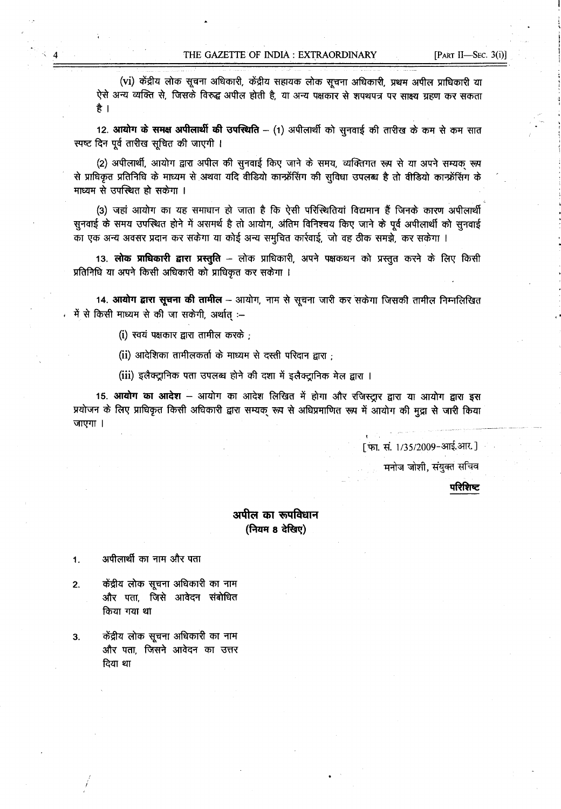(vi) केंद्रीय लोक सूचना अधिकारी, केंद्रीय सहायक लोक सूचना अधिकारी, प्रथम अपील प्राधिकारी या ऐसे अन्य व्यक्ति से, जिसके विरुद्ध अपील होती है, या अन्य पक्षकार से शपथपत्र पर साक्ष्य ग्रहण कर सकता है ।

12. आयोग के समक्ष अपीलार्थी की उपस्थिति - (1) अपीलार्थी को सुनवाई की तारीख के कम से कम सात स्पष्ट दिन पूर्व तारीख सूचित की जाएगी ।

(2) अपीलार्थी, आयोग द्वारा अपील की सुनवाई किए जाने के समय, व्यक्तिगत रूप से या अपने सम्यक रूप से प्राधिकृत प्रतिनिधि के माध्यम से अथवा यदि वीडियो कान्फ्रेंसिंग की सुविधा उपलब्ध है तो वीडियो कान्फ्रेंसिंग के माध्यम से उपस्थित हो सकेगा ।

(3) जहां आयोग का यह समाधान हो जाता है कि ऐसी परिस्थितियां विद्यमान हैं जिनके कारण अपीलार्थी सुनवाई के समय उपस्थित होने में असमर्थ है तो आयोग, अंतिम विनिश्चय किए जाने के पूर्व अपीलार्थी को सुनवाई का एक अन्य अवसर प्रदान कर सकेगा या कोई अन्य समुचित कार्रवाई, जो वह ठीक समझे, कर सकेगा ।

13. लोक प्राधिकारी द्वारा प्रस्तुति – लोक प्राधिकारी, अपने पक्षकथन को प्रस्तुत करने के लिए किसी प्रतिनिधि या अपने किसी अधिकारी को प्राधिकृत कर सकेगा ।

14. आयोग द्वारा सूचना की तामील – आयोग, नाम से सूचना जारी कर सकेगा जिसकी तामील निम्नलिखित में से किसी माध्यम से की जा सकेगी, अर्थात् :--

(i) स्वयं पक्षकार द्वारा तामील करके ;

(ii) आदेशिका तामीलकर्ता के माध्यम से दस्ती परिदान द्वारा ;

(iii) इलैक्ट्रानिक पता उपलब्ध होने की दशा में इलैक्ट्रानिक मेल द्वारा ।

15. आयोग का आदेश - आयोग का आदेश लिखित में होगा और रजिस्ट्रार द्वारा या आयोग द्वारा इस प्रयोजन के लिए प्राधिकृत किसी अधिकारी द्वारा सम्यक् रूप से अधिप्रमाणित रूप में आयोग की मुद्रा से जारी किया जाएगा ।

[फा. सं. 1/35/2009-आई.आर.]

मनोज जोशी, संयुक्त सचिव

परिशिष्ट

## अपील का रूपविधान (नियम 8 देखिए)

अपीलार्थी का नाम और पता  $\ddagger$ .

- केंद्रीय लोक सूचना अधिकारी का नाम  $2.$ और पता. जिसे आवेदन संबोधित किया गया था
- केंद्रीय लोक सूचना अधिकारी का नाम 3. और पता, जिसने आवेदन का उत्तर दिया था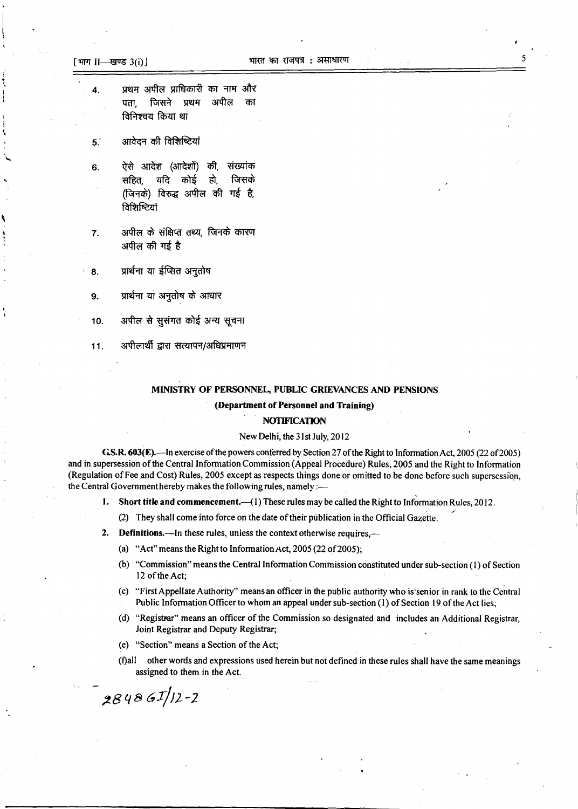- प्रथम अपील प्राधिकारी का नाम और  $\overline{\mathbf{4}}$ अपील पता जिसने प्रथम का विनिश्चय किया था
- आवेदन की विशिष्टियां  $5.$
- ऐसे आदेश (आदेशों) की, संख्यांक 6. जिसके सहित. यदि कोई हो. (जिनके) विरुद्ध अपील की गई है, विशिष्टियां
- अपील के संक्षिप्त तथ्य, जिनके कारण  $7.$ अपील की गई है
- प्रार्थना या ईप्सित अनुतोष 8.
- प्रार्थना या अनुतोष के आधार 9.
- अपील से सूसंगत कोई अन्य सूचना 10.
- $11.$ अपीलार्थी द्वारा सत्यापन/अधिप्रमाणन

# MINISTRY OF PERSONNEL, PUBLIC GRIEVANCES AND PENSIONS (Department of Personnel and Training)

# **NOTIFICATION**

## New Delhi, the 31st July, 2012

G.S.R. 603(E).—In exercise of the powers conferred by Section 27 of the Right to Information Act, 2005 (22 of 2005) and in supersession of the Central Information Commission (Appeal Procedure) Rules, 2005 and the Right to Information (Regulation of Fee and Cost) Rules, 2005 except as respects things done or omitted to be done before such supersession, the Central Government hereby makes the following rules, namely :-

- 1. Short title and commencement.— $(1)$  These rules may be called the Right to Information Rules, 2012.
	- (2) They shall come into force on the date of their publication in the Official Gazette.
- 2. Definitions.—In these rules, unless the context otherwise requires,—
	- (a) "Act" means the Right to Information Act, 2005 (22 of 2005);
	- (b) "Commission" means the Central Information Commission constituted under sub-section (1) of Section 12 of the Act;
	- (c) "First Appellate Authority" means an officer in the public authority who is senior in rank to the Central Public Information Officer to whom an appeal under sub-section (1) of Section 19 of the Act lies;
	- (d) "Registrar" means an officer of the Commission so designated and includes an Additional Registrar, Joint Registrar and Deputy Registrar;
	- (e) "Section" means a Section of the Act;
	- (f) all other words and expressions used herein but not defined in these rules shall have the same meanings assigned to them in the Act.

 $284861/12-2$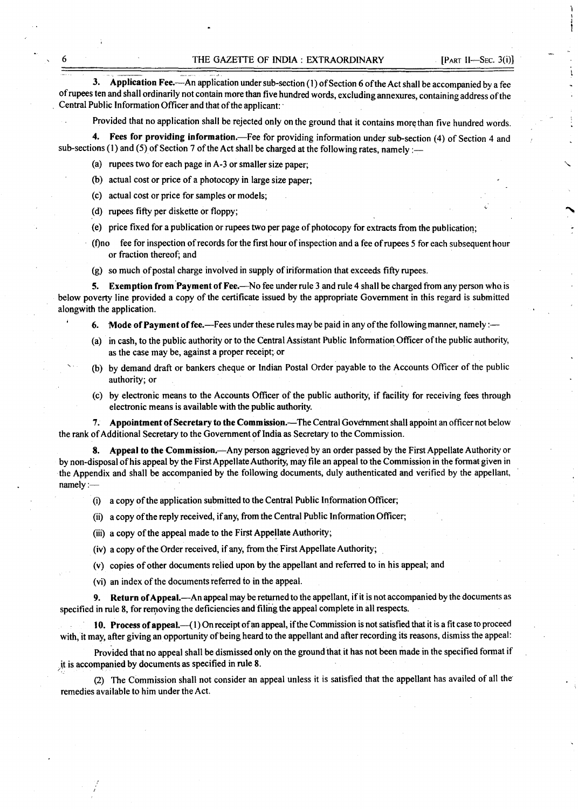3. Application Fee.—An application under sub-section (1) of Section 6 of the Act shall be accompanied by a fee of rupees ten and shall ordinarily not contain more than five hundred words, excluding annexures, containing address of the Central Public Information Officer and that of the applicant:

Provided that no application shall be rejected only on the ground that it contains more than five hundred words.

4. Fees for providing information.—Fee for providing information under sub-section (4) of Section 4 and sub-sections (1) and (5) of Section 7 of the Act shall be charged at the following rates, namely :-

- (a) rupees two for each page in A-3 or smaller size paper;
- (b) actual cost or price of a photocopy in large size paper;
- (c) actual cost or price for samples or models;
- (d) rupees fifty per diskette or floppy;
- (e) price fixed for a publication or rupees two per page of photocopy for extracts from the publication;
- fee for inspection of records for the first hour of inspection and a fee of rupees 5 for each subsequent hour  $f)$ no or fraction thereof; and
- (g) so much of postal charge involved in supply of iriformation that exceeds fifty rupees.

5. Exemption from Payment of Fee.—No fee under rule 3 and rule 4 shall be charged from any person who is below poverty line provided a copy of the certificate issued by the appropriate Government in this regard is submitted alongwith the application.

- 6. Mode of Payment of fee.—Fees under these rules may be paid in any of the following manner, namely :—
- (a) in cash, to the public authority or to the Central Assistant Public Information Officer of the public authority, as the case may be, against a proper receipt; or
- (b) by demand draft or bankers cheque or Indian Postal Order payable to the Accounts Officer of the public authority; or
- (c) by electronic means to the Accounts Officer of the public authority, if facility for receiving fees through electronic means is available with the public authority.

7. Appointment of Secretary to the Commission.—The Central Government shall appoint an officer not below the rank of Additional Secretary to the Government of India as Secretary to the Commission.

8. Appeal to the Commission.—Any person aggrieved by an order passed by the First Appellate Authority or by non-disposal of his appeal by the First Appellate Authority, may file an appeal to the Commission in the format given in the Appendix and shall be accompanied by the following documents, duly authenticated and verified by the appellant, namely:-

- (i) a copy of the application submitted to the Central Public Information Officer;
- (ii) a copy of the reply received, if any, from the Central Public Information Officer;
- (iii) a copy of the appeal made to the First Appellate Authority;
- (iv) a copy of the Order received, if any, from the First Appellate Authority;
- (v) copies of other documents relied upon by the appellant and referred to in his appeal; and
- (vi) an index of the documents referred to in the appeal.

9. Return of Appeal.—An appeal may be returned to the appellant, if it is not accompanied by the documents as specified in rule 8, for removing the deficiencies and filing the appeal complete in all respects.

10. Process of appeal.—(1) On receipt of an appeal, if the Commission is not satisfied that it is a fit case to proceed with, it may, after giving an opportunity of being heard to the appellant and after recording its reasons, dismiss the appeal:

Provided that no appeal shall be dismissed only on the ground that it has not been made in the specified format if it is accompanied by documents as specified in rule 8.

(2) The Commission shall not consider an appeal unless it is satisfied that the appellant has availed of all the remedies available to him under the Act.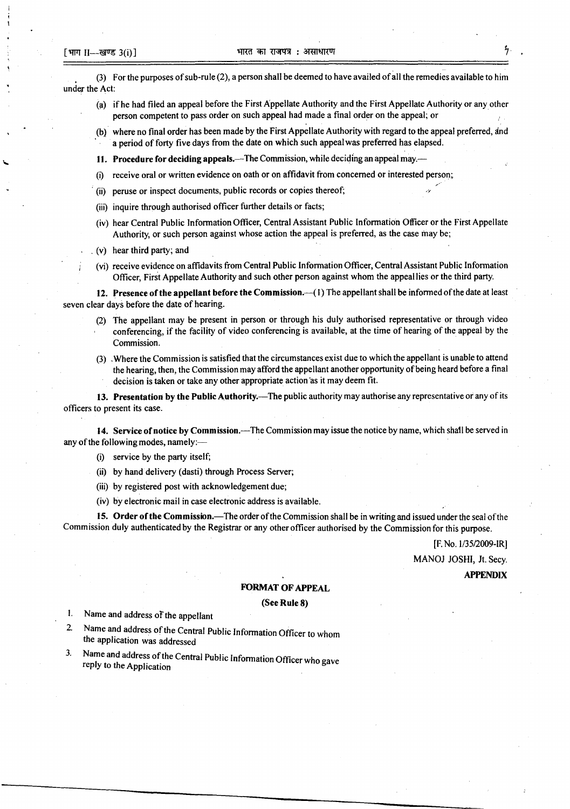(3) For the purposes of sub-rule (2), a person shall be deemed to have availed of all the remedies available to him under the Act:

- (a) if he had filed an appeal before the First Appellate Authority and the First Appellate Authority or any other person competent to pass order on such appeal had made a final order on the appeal; or
- (b) where no final order has been made by the First Appellate Authority with regard to the appeal preferred, and a period of forty five days from the date on which such appeal was preferred has elapsed.
- 11. Procedure for deciding appeals.—The Commission, while deciding an appeal may.—
- (i) receive oral or written evidence on oath or on affidavit from concerned or interested person;
- (ii) peruse or inspect documents, public records or copies thereof;
- (iii) inquire through authorised officer further details or facts;
- (iv) hear Central Public Information Officer, Central Assistant Public Information Officer or the First Appellate Authority, or such person against whose action the appeal is preferred, as the case may be;
- (v) hear third party; and
- (vi) receive evidence on affidavits from Central Public Information Officer, Central Assistant Public Information Officer, First Appellate Authority and such other person against whom the appeallies or the third party.

12. Presence of the appellant before the Commission. (1) The appellant shall be informed of the date at least seven clear days before the date of hearing.

- (2) The appellant may be present in person or through his duly authorised representative or through video conferencing, if the facility of video conferencing is available, at the time of hearing of the appeal by the Commission.
- (3) Where the Commission is satisfied that the circumstances exist due to which the appellant is unable to attend the hearing, then, the Commission may afford the appellant another opportunity of being heard before a final decision is taken or take any other appropriate action as it may deem fit.

13. Presentation by the Public Authority.—The public authority may authorise any representative or any of its officers to present its case.

14. Service of notice by Commission.—The Commission may issue the notice by name, which shall be served in any of the following modes, namely:-

- (i) service by the party itself,
- (ii) by hand delivery (dasti) through Process Server;
- (iii) by registered post with acknowledgement due;
- (iv) by electronic mail in case electronic address is available.

15. Order of the Commission.—The order of the Commission shall be in writing and issued under the seal of the Commission duly authenticated by the Registrar or any other officer authorised by the Commission for this purpose.

> [F. No. 1/35/2009-IR] MANOJ JOSHI, Jt. Secy. **APPENDIX**

## **FORMAT OF APPEAL**

(See Rule 8)

- $\mathbf{1}$ . Name and address of the appellant
- Name and address of the Central Public Information Officer to whom  $\overline{2}$ the application was addressed
- Name and address of the Central Public Information Officer who gave  $\overline{3}$ . reply to the Application